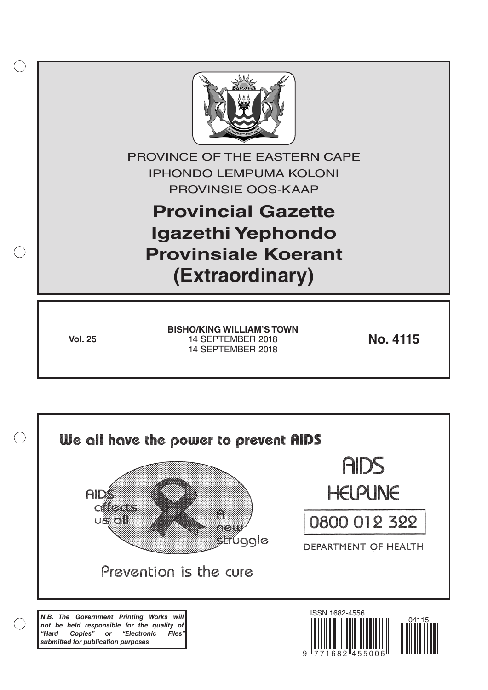

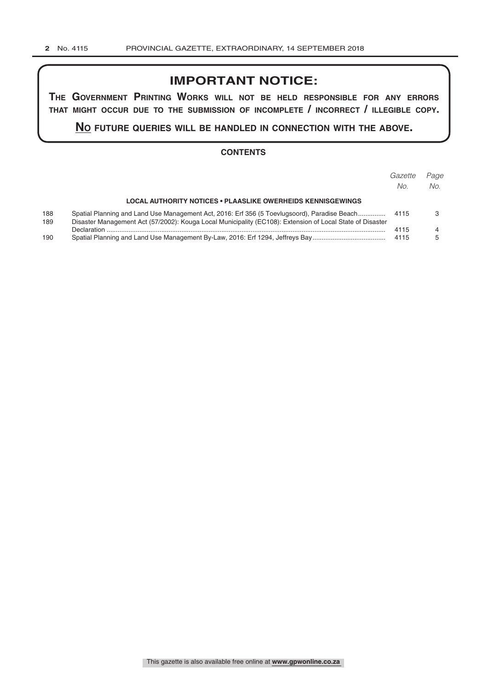# **IMPORTANT NOTICE:**

**The GovernmenT PrinTinG Works Will noT be held resPonsible for any errors ThaT miGhT occur due To The submission of incomPleTe / incorrecT / illeGible coPy.**

**no fuTure queries Will be handled in connecTion WiTh The above.**

#### **CONTENTS**

|            |                                                                                                                                                                                                                | Gazette<br>No. | Paae<br>No. |
|------------|----------------------------------------------------------------------------------------------------------------------------------------------------------------------------------------------------------------|----------------|-------------|
|            | <b>LOCAL AUTHORITY NOTICES • PLAASLIKE OWERHEIDS KENNISGEWINGS</b>                                                                                                                                             |                |             |
| 188<br>189 | Spatial Planning and Land Use Management Act, 2016: Erf 356 (5 Toeylugsoord), Paradise Beach 4115<br>Disaster Management Act (57/2002): Kouga Local Municipality (EC108): Extension of Local State of Disaster |                |             |
| 190        |                                                                                                                                                                                                                | 4115<br>4115   |             |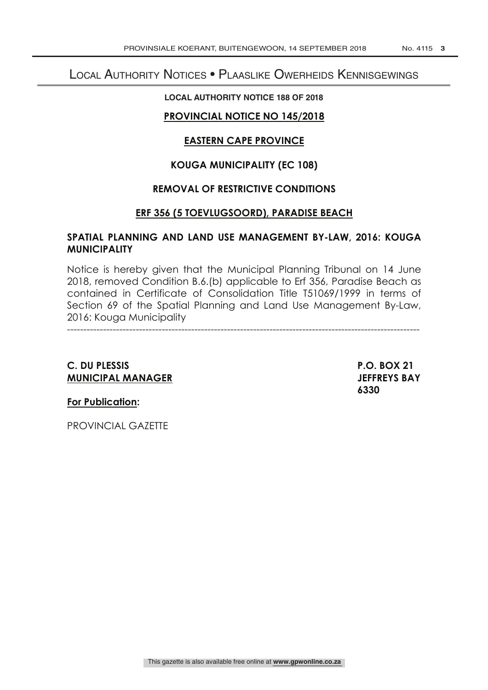# Local Authority Notices • Plaaslike Owerheids Kennisgewings

### **LOCAL AUTHORITY NOTICE 188 OF 2018**

# **PROVINCIAL NOTICE NO 145/2018**

# **EASTERN CAPE PROVINCE**

## **KOUGA MUNICIPALITY (EC 108)**

### **REMOVAL OF RESTRICTIVE CONDITIONS**

### **ERF 356 (5 TOEVLUGSOORD), PARADISE BEACH**

## **SPATIAL PLANNING AND LAND USE MANAGEMENT BY-LAW, 2016: KOUGA MUNICIPALITY**

Notice is hereby given that the Municipal Planning Tribunal on 14 June 2018, removed Condition B.6.(b) applicable to Erf 356, Paradise Beach as contained in Certificate of Consolidation Title T51069/1999 in terms of Section 69 of the Spatial Planning and Land Use Management By-Law, 2016: Kouga Municipality

------------------------------------------------------------------------------------------------------------

# **C. DU PLESSIS P.O. BOX 21 MUNICIPAL MANAGER JEFFREYS BAY**

 **6330**

**For Publication:** 

PROVINCIAL GAZETTE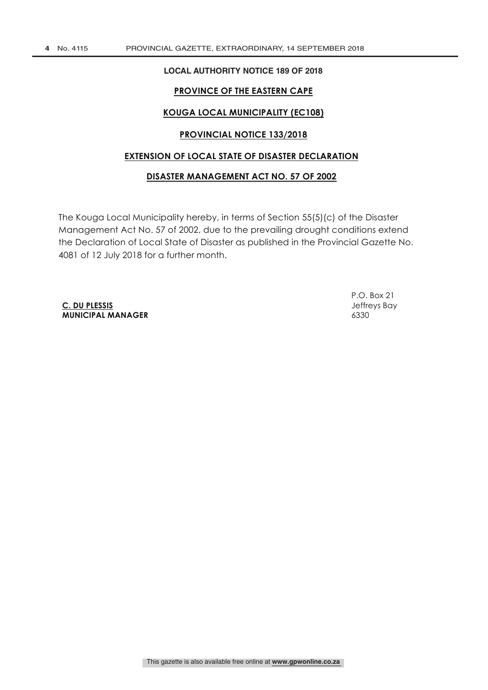#### **LOCAL AUTHORITY NOTICE 189 OF 2018**

#### **PROVINCE OF THE EASTERN CAPE**

#### **KOUGA LOCAL MUNICIPALITY (EC108)**

#### **PROVINCIAL NOTICE 133/2018**

#### **EXTENSION OF LOCAL STATE OF DISASTER DECLARATION**

#### **DISASTER MANAGEMENT ACT NO. 57 OF 2002**

The Kouga Local Municipality hereby, in terms of Section 55(5)(c) of the Disaster Management Act No. 57 of 2002, due to the prevailing drought conditions extend the Declaration of Local State of Disaster as published in the Provincial Gazette No. 4081 of 12 July 2018 for a further month.

**C. DU PLESSIS** Jeffreys Bay **MUNICIPAL MANAGER** 6330

P.O. Box 21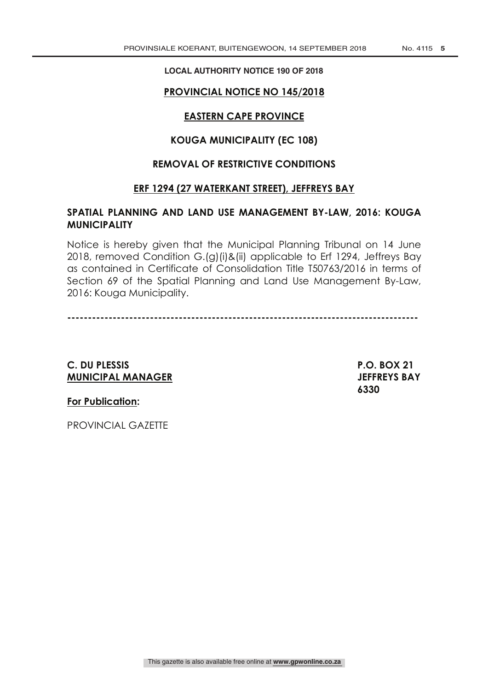#### **LOCAL AUTHORITY NOTICE 190 OF 2018**

### **PROVINCIAL NOTICE NO 145/2018**

### **EASTERN CAPE PROVINCE**

## **KOUGA MUNICIPALITY (EC 108)**

### **REMOVAL OF RESTRICTIVE CONDITIONS**

#### **ERF 1294 (27 WATERKANT STREET), JEFFREYS BAY**

## **SPATIAL PLANNING AND LAND USE MANAGEMENT BY-LAW, 2016: KOUGA MUNICIPALITY**

Notice is hereby given that the Municipal Planning Tribunal on 14 June 2018, removed Condition G.(g)(i)&(ii) applicable to Erf 1294, Jeffreys Bay as contained in Certificate of Consolidation Title T50763/2016 in terms of Section 69 of the Spatial Planning and Land Use Management By-Law, 2016: Kouga Municipality.

**-------------------------------------------------------------------------------------**

# **C. DU PLESSIS P.O. BOX 21 MUNICIPAL MANAGER JEFFREYS BAY**

 **6330**

**For Publication:** 

PROVINCIAL GAZETTE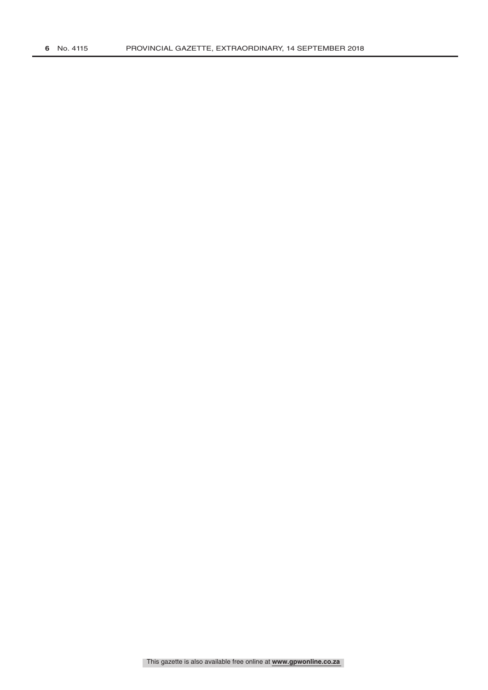This gazette is also available free online at **www.gpwonline.co.za**